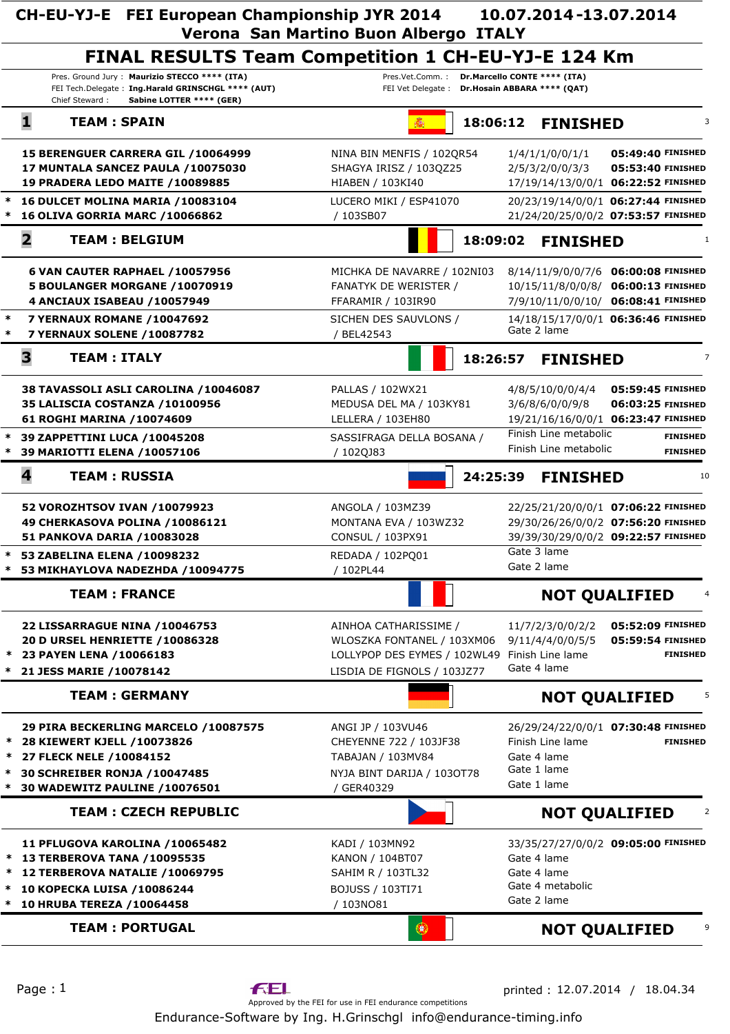|                                                           | CH-EU-YJ-E FEI European Championship JYR 2014                                                                                                                      | Verona San Martino Buon Albergo ITALY                                                                                               | 10.07.2014-13.07.2014                                                                                                            |  |
|-----------------------------------------------------------|--------------------------------------------------------------------------------------------------------------------------------------------------------------------|-------------------------------------------------------------------------------------------------------------------------------------|----------------------------------------------------------------------------------------------------------------------------------|--|
| <b>FINAL RESULTS Team Competition 1 CH-EU-YJ-E 124 Km</b> |                                                                                                                                                                    |                                                                                                                                     |                                                                                                                                  |  |
|                                                           | Pres. Ground Jury: Maurizio STECCO **** (ITA)<br>FEI Tech.Delegate: Ing.Harald GRINSCHGL **** (AUT)<br>Sabine LOTTER **** (GER)<br>Chief Steward:                  | Pres.Vet.Comm.: Dr.Marcello CONTE **** (ITA)<br>FEI Vet Delegate : Dr.Hosain ABBARA **** (QAT)                                      |                                                                                                                                  |  |
|                                                           | 1<br><b>TEAM: SPAIN</b>                                                                                                                                            |                                                                                                                                     | 18:06:12 FINISHED<br>3                                                                                                           |  |
|                                                           | 15 BERENGUER CARRERA GIL / 10064999<br>17 MUNTALA SANCEZ PAULA / 10075030<br>19 PRADERA LEDO MAITE / 10089885                                                      | NINA BIN MENFIS / 102QR54<br>SHAGYA IRISZ / 103QZ25<br>HIABEN / 103KI40                                                             | 05:49:40 FINISHED<br>1/4/1/1/0/0/1/1<br>2/5/3/2/0/0/3/3<br>05:53:40 FINISHED<br>17/19/14/13/0/0/1 06:22:52 FINISHED              |  |
| $\ast$                                                    | 16 DULCET MOLINA MARIA / 10083104<br>16 OLIVA GORRIA MARC / 10066862                                                                                               | LUCERO MIKI / ESP41070<br>/ 103SB07                                                                                                 | 20/23/19/14/0/0/1 06:27:44 FINISHED<br>21/24/20/25/0/0/2 07:53:57 FINISHED                                                       |  |
|                                                           | $\mathbf{2}$<br><b>TEAM: BELGIUM</b>                                                                                                                               |                                                                                                                                     | 18:09:02<br><b>FINISHED</b><br>1                                                                                                 |  |
|                                                           | 6 VAN CAUTER RAPHAEL /10057956<br>5 BOULANGER MORGANE /10070919<br>4 ANCIAUX ISABEAU /10057949                                                                     | MICHKA DE NAVARRE / 102NI03<br><b>FANATYK DE WERISTER /</b><br>FFARAMIR / 103IR90                                                   | 8/14/11/9/0/0/7/6 06:00:08 FINISHED<br>10/15/11/8/0/0/8/<br>06:00:13 FINISHED<br>06:08:41 FINISHED<br>7/9/10/11/0/0/10/          |  |
| $\ast$<br>∗                                               | <b>7 YERNAUX ROMANE /10047692</b><br>7 YERNAUX SOLENE / 10087782                                                                                                   | SICHEN DES SAUVLONS /<br>/ BEL42543                                                                                                 | 14/18/15/17/0/0/1 06:36:46 FINISHED<br>Gate 2 lame                                                                               |  |
|                                                           | 3<br><b>TEAM: ITALY</b>                                                                                                                                            |                                                                                                                                     | 18:26:57<br><b>FINISHED</b><br>$\overline{7}$                                                                                    |  |
|                                                           | 38 TAVASSOLI ASLI CAROLINA /10046087<br>35 LALISCIA COSTANZA / 10100956<br>61 ROGHI MARINA / 10074609                                                              | PALLAS / 102WX21<br>MEDUSA DEL MA / 103KY81<br>LELLERA / 103EH80                                                                    | 4/8/5/10/0/0/4/4<br>05:59:45 FINISHED<br>3/6/8/6/0/0/9/8<br>06:03:25 FINISHED<br>19/21/16/16/0/0/1 06:23:47 FINISHED             |  |
|                                                           | 39 ZAPPETTINI LUCA /10045208<br>39 MARIOTTI ELENA /10057106                                                                                                        | SASSIFRAGA DELLA BOSANA /<br>/ 102QJ83                                                                                              | Finish Line metabolic<br><b>FINISHED</b><br>Finish Line metabolic<br><b>FINISHED</b>                                             |  |
|                                                           | 4<br><b>TEAM: RUSSIA</b>                                                                                                                                           |                                                                                                                                     | 24:25:39<br><b>FINISHED</b><br>10                                                                                                |  |
| $\ast$                                                    | 52 VOROZHTSOV IVAN /10079923<br>49 CHERKASOVA POLINA /10086121<br>51 PANKOVA DARIA / 10083028<br>53 ZABELINA ELENA /10098232                                       | ANGOLA / 103MZ39<br>MONTANA EVA / 103WZ32<br>CONSUL / 103PX91<br>REDADA / 102PQ01                                                   | 22/25/21/20/0/0/1 07:06:22 FINISHED<br>29/30/26/26/0/0/2 07:56:20 FINISHED<br>39/39/30/29/0/0/2 09:22:57 FINISHED<br>Gate 3 lame |  |
|                                                           | 53 MIKHAYLOVA NADEZHDA /10094775                                                                                                                                   | / 102PL44                                                                                                                           | Gate 2 lame                                                                                                                      |  |
|                                                           | <b>TEAM: FRANCE</b>                                                                                                                                                |                                                                                                                                     | <b>NOT QUALIFIED</b>                                                                                                             |  |
| $\ast$<br>∗                                               | <b>22 LISSARRAGUE NINA /10046753</b><br>20 D URSEL HENRIETTE / 10086328<br>23 PAYEN LENA /10066183<br>21 JESS MARIE / 10078142                                     | AINHOA CATHARISSIME /<br>WLOSZKA FONTANEL / 103XM06<br>LOLLYPOP DES EYMES / 102WL49 Finish Line lame<br>LISDIA DE FIGNOLS / 103JZ77 | 11/7/2/3/0/0/2/2<br>05:52:09 FINISHED<br>9/11/4/4/0/0/5/5<br>05:59:54 FINISHED<br><b>FINISHED</b><br>Gate 4 lame                 |  |
|                                                           | <b>TEAM: GERMANY</b>                                                                                                                                               |                                                                                                                                     | <b>NOT QUALIFIED</b>                                                                                                             |  |
| $\ast$<br>*<br>$\ast$                                     | 29 PIRA BECKERLING MARCELO / 10087575<br>28 KIEWERT KJELL / 10073826<br>27 FLECK NELE / 10084152<br>30 SCHREIBER RONJA / 10047485<br>30 WADEWITZ PAULINE /10076501 | ANGI JP / 103VU46<br>CHEYENNE 722 / 103JF38<br>TABAJAN / 103MV84<br>NYJA BINT DARIJA / 1030T78<br>/ GER40329                        | 26/29/24/22/0/0/1 07:30:48 FINISHED<br>Finish Line lame<br><b>FINISHED</b><br>Gate 4 lame<br>Gate 1 lame<br>Gate 1 lame          |  |
|                                                           | <b>TEAM: CZECH REPUBLIC</b>                                                                                                                                        |                                                                                                                                     | <b>NOT QUALIFIED</b>                                                                                                             |  |
| ∗                                                         | 11 PFLUGOVA KAROLINA /10065482<br>13 TERBEROVA TANA / 10095535<br>12 TERBEROVA NATALIE /10069795<br>10 KOPECKA LUISA / 10086244<br>10 HRUBA TEREZA / 10064458      | KADI / 103MN92<br>KANON / 104BT07<br>SAHIM R / 103TL32<br>BOJUSS / 103TI71<br>/ 103NO81                                             | 33/35/27/27/0/0/2 09:05:00 FINISHED<br>Gate 4 lame<br>Gate 4 lame<br>Gate 4 metabolic<br>Gate 2 lame                             |  |
|                                                           | <b>TEAM: PORTUGAL</b>                                                                                                                                              | 403                                                                                                                                 | <b>NOT QUALIFIED</b>                                                                                                             |  |

Endurance-Software by Ing. H.Grinschgl info@endurance-timing.info